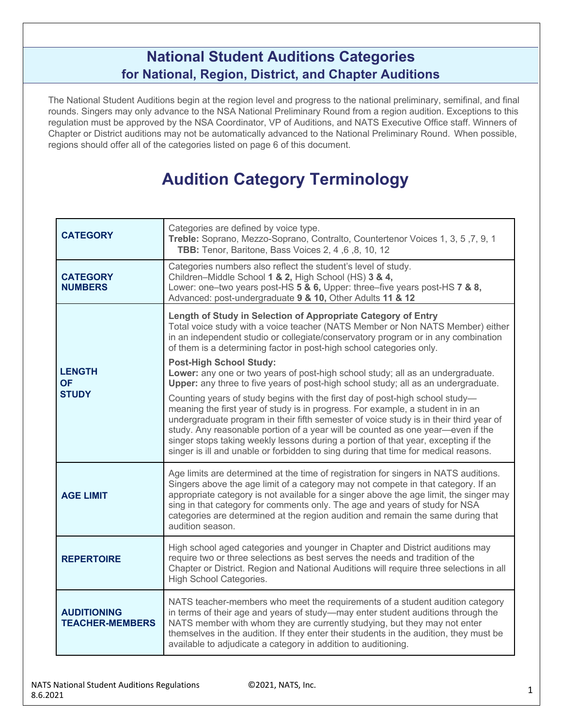### **National Student Auditions Categories for National, Region, District, and Chapter Auditions**

The National Student Auditions begin at the region level and progress to the national preliminary, semifinal, and final rounds. Singers may only advance to the NSA National Preliminary Round from a region audition. Exceptions to this regulation must be approved by the NSA Coordinator, VP of Auditions, and NATS Executive Office staff. Winners of Chapter or District auditions may not be automatically advanced to the National Preliminary Round. When possible, regions should offer all of the categories listed on page 6 of this document.

## **Audition Category Terminology**

| <b>CATEGORY</b>                              | Categories are defined by voice type.<br>Treble: Soprano, Mezzo-Soprano, Contralto, Countertenor Voices 1, 3, 5, 7, 9, 1<br>TBB: Tenor, Baritone, Bass Voices 2, 4, 6, 8, 10, 12                                                                                                                                                                                                                                                                                                                                          |  |  |  |  |  |
|----------------------------------------------|---------------------------------------------------------------------------------------------------------------------------------------------------------------------------------------------------------------------------------------------------------------------------------------------------------------------------------------------------------------------------------------------------------------------------------------------------------------------------------------------------------------------------|--|--|--|--|--|
| <b>CATEGORY</b><br><b>NUMBERS</b>            | Categories numbers also reflect the student's level of study.<br>Children-Middle School 1 & 2, High School (HS) 3 & 4,<br>Lower: one-two years post-HS 5 & 6, Upper: three-five years post-HS 7 & 8,<br>Advanced: post-undergraduate 9 & 10, Other Adults 11 & 12                                                                                                                                                                                                                                                         |  |  |  |  |  |
|                                              | Length of Study in Selection of Appropriate Category of Entry<br>Total voice study with a voice teacher (NATS Member or Non NATS Member) either<br>in an independent studio or collegiate/conservatory program or in any combination<br>of them is a determining factor in post-high school categories only.                                                                                                                                                                                                              |  |  |  |  |  |
| <b>LENGTH</b><br><b>OF</b>                   | <b>Post-High School Study:</b><br>Lower: any one or two years of post-high school study; all as an undergraduate.<br>Upper: any three to five years of post-high school study; all as an undergraduate.                                                                                                                                                                                                                                                                                                                   |  |  |  |  |  |
| <b>STUDY</b>                                 | Counting years of study begins with the first day of post-high school study-<br>meaning the first year of study is in progress. For example, a student in in an<br>undergraduate program in their fifth semester of voice study is in their third year of<br>study. Any reasonable portion of a year will be counted as one year-even if the<br>singer stops taking weekly lessons during a portion of that year, excepting if the<br>singer is ill and unable or forbidden to sing during that time for medical reasons. |  |  |  |  |  |
| <b>AGE LIMIT</b>                             | Age limits are determined at the time of registration for singers in NATS auditions.<br>Singers above the age limit of a category may not compete in that category. If an<br>appropriate category is not available for a singer above the age limit, the singer may<br>sing in that category for comments only. The age and years of study for NSA<br>categories are determined at the region audition and remain the same during that<br>audition season.                                                                |  |  |  |  |  |
| <b>REPERTOIRE</b>                            | High school aged categories and younger in Chapter and District auditions may<br>require two or three selections as best serves the needs and tradition of the<br>Chapter or District. Region and National Auditions will require three selections in all<br>High School Categories.                                                                                                                                                                                                                                      |  |  |  |  |  |
| <b>AUDITIONING</b><br><b>TEACHER-MEMBERS</b> | NATS teacher-members who meet the requirements of a student audition category<br>in terms of their age and years of study-may enter student auditions through the<br>NATS member with whom they are currently studying, but they may not enter<br>themselves in the audition. If they enter their students in the audition, they must be<br>available to adjudicate a category in addition to auditioning.                                                                                                                |  |  |  |  |  |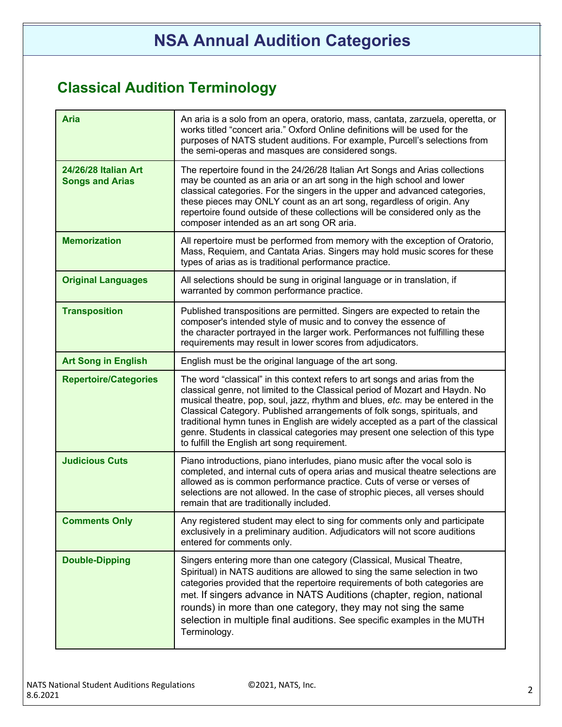## **Classical Audition Terminology**

| <b>Aria</b>                                    | An aria is a solo from an opera, oratorio, mass, cantata, zarzuela, operetta, or<br>works titled "concert aria." Oxford Online definitions will be used for the<br>purposes of NATS student auditions. For example, Purcell's selections from<br>the semi-operas and masques are considered songs.                                                                                                                                                                                                                                               |
|------------------------------------------------|--------------------------------------------------------------------------------------------------------------------------------------------------------------------------------------------------------------------------------------------------------------------------------------------------------------------------------------------------------------------------------------------------------------------------------------------------------------------------------------------------------------------------------------------------|
| 24/26/28 Italian Art<br><b>Songs and Arias</b> | The repertoire found in the 24/26/28 Italian Art Songs and Arias collections<br>may be counted as an aria or an art song in the high school and lower<br>classical categories. For the singers in the upper and advanced categories,<br>these pieces may ONLY count as an art song, regardless of origin. Any<br>repertoire found outside of these collections will be considered only as the<br>composer intended as an art song OR aria.                                                                                                       |
| <b>Memorization</b>                            | All repertoire must be performed from memory with the exception of Oratorio,<br>Mass, Requiem, and Cantata Arias. Singers may hold music scores for these<br>types of arias as is traditional performance practice.                                                                                                                                                                                                                                                                                                                              |
| <b>Original Languages</b>                      | All selections should be sung in original language or in translation, if<br>warranted by common performance practice.                                                                                                                                                                                                                                                                                                                                                                                                                            |
| <b>Transposition</b>                           | Published transpositions are permitted. Singers are expected to retain the<br>composer's intended style of music and to convey the essence of<br>the character portrayed in the larger work. Performances not fulfilling these<br>requirements may result in lower scores from adjudicators.                                                                                                                                                                                                                                                     |
| <b>Art Song in English</b>                     | English must be the original language of the art song.                                                                                                                                                                                                                                                                                                                                                                                                                                                                                           |
| <b>Repertoire/Categories</b>                   | The word "classical" in this context refers to art songs and arias from the<br>classical genre, not limited to the Classical period of Mozart and Haydn. No<br>musical theatre, pop, soul, jazz, rhythm and blues, etc. may be entered in the<br>Classical Category. Published arrangements of folk songs, spirituals, and<br>traditional hymn tunes in English are widely accepted as a part of the classical<br>genre. Students in classical categories may present one selection of this type<br>to fulfill the English art song requirement. |
| <b>Judicious Cuts</b>                          | Piano introductions, piano interludes, piano music after the vocal solo is<br>completed, and internal cuts of opera arias and musical theatre selections are<br>allowed as is common performance practice. Cuts of verse or verses of<br>selections are not allowed. In the case of strophic pieces, all verses should<br>remain that are traditionally included.                                                                                                                                                                                |
| <b>Comments Only</b>                           | Any registered student may elect to sing for comments only and participate<br>exclusively in a preliminary audition. Adjudicators will not score auditions<br>entered for comments only.                                                                                                                                                                                                                                                                                                                                                         |
| <b>Double-Dipping</b>                          | Singers entering more than one category (Classical, Musical Theatre,<br>Spiritual) in NATS auditions are allowed to sing the same selection in two<br>categories provided that the repertoire requirements of both categories are<br>met. If singers advance in NATS Auditions (chapter, region, national<br>rounds) in more than one category, they may not sing the same<br>selection in multiple final auditions. See specific examples in the MUTH<br>Terminology.                                                                           |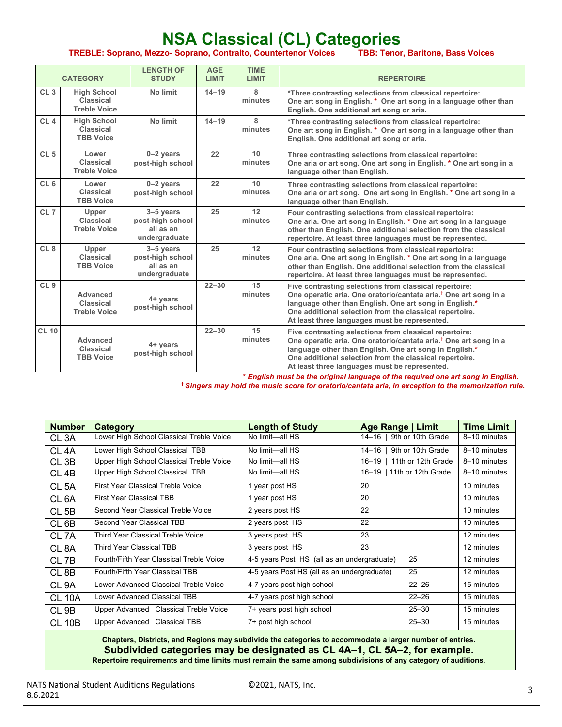#### **NSA Classical (CL) Categories TREBLE: Soprano, Mezzo- Soprano, Contralto, Countertenor Voices TBB: Tenor, Baritone, Bass Voices CATEGORY LENGTH OF STUDY AGE LIMIT TIME LIMIT REPERTOIRE**

| CL3             | <b>High School</b><br>Classical<br><b>Treble Voice</b>     | No limit                                                      | $14 - 19$ | 8<br>minutes               | *Three contrasting selections from classical repertoire:<br>One art song in English. * One art song in a language other than<br>English. One additional art song or aria.                                                                                                                                    |
|-----------------|------------------------------------------------------------|---------------------------------------------------------------|-----------|----------------------------|--------------------------------------------------------------------------------------------------------------------------------------------------------------------------------------------------------------------------------------------------------------------------------------------------------------|
| CL4             | <b>High School</b><br><b>Classical</b><br><b>TBB Voice</b> | No limit                                                      | $14 - 19$ | 8<br>minutes               | *Three contrasting selections from classical repertoire:<br>One art song in English. * One art song in a language other than<br>English. One additional art song or aria.                                                                                                                                    |
| CL <sub>5</sub> | Lower<br>Classical<br><b>Treble Voice</b>                  | $0 - 2$ years<br>post-high school                             | 22        | 10 <sup>1</sup><br>minutes | Three contrasting selections from classical repertoire:<br>One aria or art song. One art song in English. * One art song in a<br>language other than English.                                                                                                                                                |
| CL <sub>6</sub> | Lower<br>Classical<br><b>TBB Voice</b>                     | $0 - 2$ years<br>post-high school                             | 22        | 10<br>minutes              | Three contrasting selections from classical repertoire:<br>One aria or art song. One art song in English. * One art song in a<br>language other than English.                                                                                                                                                |
| CL <sub>7</sub> | Upper<br>Classical<br><b>Treble Voice</b>                  | $3-5$ years<br>post-high school<br>all as an<br>undergraduate | 25        | 12<br>minutes              | Four contrasting selections from classical repertoire:<br>One aria. One art song in English. * One art song in a language<br>other than English. One additional selection from the classical<br>repertoire. At least three languages must be represented.                                                    |
| CL <sub>8</sub> | Upper<br><b>Classical</b><br><b>TBB Voice</b>              | $3-5$ years<br>post-high school<br>all as an<br>undergraduate | 25        | 12<br>minutes              | Four contrasting selections from classical repertoire:<br>One aria. One art song in English. * One art song in a language<br>other than English. One additional selection from the classical<br>repertoire. At least three languages must be represented.                                                    |
| CL <sub>9</sub> | Advanced<br>Classical<br><b>Treble Voice</b>               | 4+ years<br>post-high school                                  | $22 - 30$ | 15<br>minutes              | Five contrasting selections from classical repertoire:<br>One operatic aria. One oratorio/cantata aria. <sup>†</sup> One art song in a<br>language other than English. One art song in English.*<br>One additional selection from the classical repertoire.<br>At least three languages must be represented. |
| <b>CL 10</b>    | Advanced<br>Classical<br><b>TBB Voice</b>                  | 4+ years<br>post-high school                                  | $22 - 30$ | 15<br>minutes              | Five contrasting selections from classical repertoire:<br>One operatic aria. One oratorio/cantata aria. <sup>†</sup> One art song in a<br>language other than English. One art song in English.*<br>One additional selection from the classical repertoire.<br>At least three languages must be represented. |

 **\*** *English must be the original language of the required one art song in English***. †** *Singers may hold the music score for oratorio/cantata aria, in exception to the memorization rule.*

| <b>Number</b>     | <b>Category</b>                          | <b>Length of Study</b>                      | Age Range   Limit                                 |                            | <b>Time Limit</b> |
|-------------------|------------------------------------------|---------------------------------------------|---------------------------------------------------|----------------------------|-------------------|
| CL <sub>3</sub> A | Lower High School Classical Treble Voice | No limit-all HS                             |                                                   | 14-16   9th or 10th Grade  | 8-10 minutes      |
| CL 4A             | Lower High School Classical TBB          | No limit-all HS                             | $14 - 16$                                         | 9th or 10th Grade          | 8-10 minutes      |
| CL 3B             | Upper High School Classical Treble Voice | No limit-all HS                             | $16 - 19$                                         | 11th or 12th Grade         | 8-10 minutes      |
| CL 4B             | Upper High School Classical TBB          | No limit-all HS                             |                                                   | 16-19   11th or 12th Grade | 8-10 minutes      |
| CL <sub>5</sub> A | First Year Classical Treble Voice        | 1 year post HS                              | 20                                                |                            | 10 minutes        |
| CL <sub>6</sub> A | <b>First Year Classical TBB</b>          | 1 year post HS                              | 20                                                |                            | 10 minutes        |
| CL <sub>5B</sub>  | Second Year Classical Treble Voice       | 2 years post HS                             | 22                                                |                            | 10 minutes        |
| CL <sub>6</sub> B | Second Year Classical TBB                | 2 years post HS                             | 22                                                |                            | 10 minutes        |
| CL 7A             | <b>Third Year Classical Treble Voice</b> | 3 years post HS                             | 23                                                |                            | 12 minutes        |
| CL 8A             | Third Year Classical TBB                 | 3 years post HS                             | 23                                                |                            | 12 minutes        |
| CL <sub>7B</sub>  | Fourth/Fifth Year Classical Treble Voice | 4-5 years Post HS (all as an undergraduate) |                                                   | 25                         | 12 minutes        |
| CL <sub>8</sub> B | Fourth/Fifth Year Classical TBB          |                                             | 25<br>4-5 years Post HS (all as an undergraduate) |                            | 12 minutes        |
| CL 9A             | Lower Advanced Classical Treble Voice    | 4-7 years post high school                  |                                                   | $22 - 26$                  | 15 minutes        |
| <b>CL 10A</b>     | Lower Advanced Classical TBB             | 4-7 years post high school                  | $22 - 26$                                         | 15 minutes                 |                   |
| CL <sub>9B</sub>  | Upper Advanced Classical Treble Voice    | 7+ years post high school                   |                                                   | $25 - 30$                  | 15 minutes        |
| <b>CL 10B</b>     | Upper Advanced Classical TBB             | 7+ post high school                         |                                                   | $25 - 30$                  | 15 minutes        |

**Chapters, Districts, and Regions may subdivide the categories to accommodate a larger number of entries. Subdivided categories may be designated as CL 4A–1, CL 5A–2, for example. Repertoire requirements and time limits must remain the same among subdivisions of any category of auditions**.

NATS National Student Auditions Regulations 62021, NATS, Inc. 3 3 8.6.2021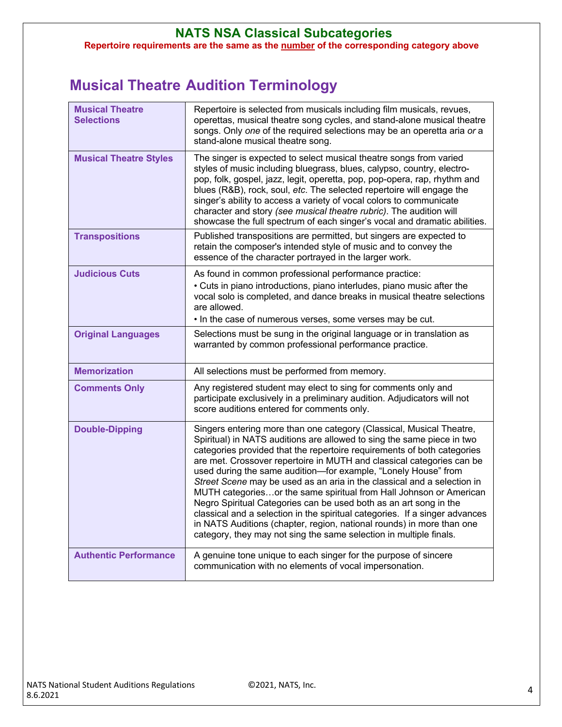#### **NATS NSA Classical Subcategories Repertoire requirements are the same as the number of the corresponding category above**

### **Musical Theatre Audition Terminology**

| <b>Musical Theatre</b><br><b>Selections</b> | Repertoire is selected from musicals including film musicals, revues,<br>operettas, musical theatre song cycles, and stand-alone musical theatre<br>songs. Only one of the required selections may be an operetta aria or a<br>stand-alone musical theatre song.                                                                                                                                                                                                                                                                                                                                                                                                                                                                                                                                                         |
|---------------------------------------------|--------------------------------------------------------------------------------------------------------------------------------------------------------------------------------------------------------------------------------------------------------------------------------------------------------------------------------------------------------------------------------------------------------------------------------------------------------------------------------------------------------------------------------------------------------------------------------------------------------------------------------------------------------------------------------------------------------------------------------------------------------------------------------------------------------------------------|
| <b>Musical Theatre Styles</b>               | The singer is expected to select musical theatre songs from varied<br>styles of music including bluegrass, blues, calypso, country, electro-<br>pop, folk, gospel, jazz, legit, operetta, pop, pop-opera, rap, rhythm and<br>blues (R&B), rock, soul, etc. The selected repertoire will engage the<br>singer's ability to access a variety of vocal colors to communicate<br>character and story (see musical theatre rubric). The audition will<br>showcase the full spectrum of each singer's vocal and dramatic abilities.                                                                                                                                                                                                                                                                                            |
| <b>Transpositions</b>                       | Published transpositions are permitted, but singers are expected to<br>retain the composer's intended style of music and to convey the<br>essence of the character portrayed in the larger work.                                                                                                                                                                                                                                                                                                                                                                                                                                                                                                                                                                                                                         |
| <b>Judicious Cuts</b>                       | As found in common professional performance practice:<br>• Cuts in piano introductions, piano interludes, piano music after the<br>vocal solo is completed, and dance breaks in musical theatre selections<br>are allowed.<br>. In the case of numerous verses, some verses may be cut.                                                                                                                                                                                                                                                                                                                                                                                                                                                                                                                                  |
| <b>Original Languages</b>                   | Selections must be sung in the original language or in translation as<br>warranted by common professional performance practice.                                                                                                                                                                                                                                                                                                                                                                                                                                                                                                                                                                                                                                                                                          |
| <b>Memorization</b>                         | All selections must be performed from memory.                                                                                                                                                                                                                                                                                                                                                                                                                                                                                                                                                                                                                                                                                                                                                                            |
| <b>Comments Only</b>                        | Any registered student may elect to sing for comments only and<br>participate exclusively in a preliminary audition. Adjudicators will not<br>score auditions entered for comments only.                                                                                                                                                                                                                                                                                                                                                                                                                                                                                                                                                                                                                                 |
| <b>Double-Dipping</b>                       | Singers entering more than one category (Classical, Musical Theatre,<br>Spiritual) in NATS auditions are allowed to sing the same piece in two<br>categories provided that the repertoire requirements of both categories<br>are met. Crossover repertoire in MUTH and classical categories can be<br>used during the same audition-for example, "Lonely House" from<br>Street Scene may be used as an aria in the classical and a selection in<br>MUTH categoriesor the same spiritual from Hall Johnson or American<br>Negro Spiritual Categories can be used both as an art song in the<br>classical and a selection in the spiritual categories. If a singer advances<br>in NATS Auditions (chapter, region, national rounds) in more than one<br>category, they may not sing the same selection in multiple finals. |
| <b>Authentic Performance</b>                | A genuine tone unique to each singer for the purpose of sincere<br>communication with no elements of vocal impersonation.                                                                                                                                                                                                                                                                                                                                                                                                                                                                                                                                                                                                                                                                                                |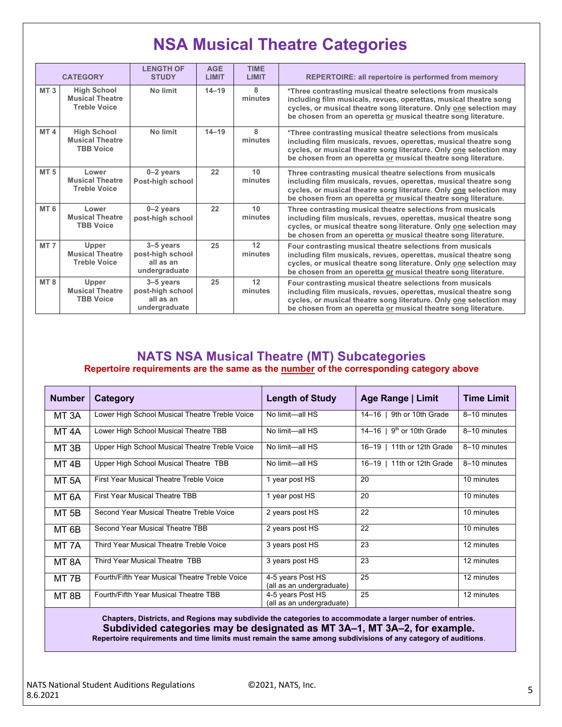## **NSA Musical Theatre Categories**

|                 | <b>CATEGORY</b>                                                     | <b>LENGTH OF</b><br><b>STUDY</b>                              | <b>AGE</b><br>LIMIT | <b>TIME</b><br><b>LIMIT</b>                                                                                                                                                                                                                                                             | <b>REPERTOIRE: all repertoire is performed from memory</b>                                                                                                                                                                                                              |
|-----------------|---------------------------------------------------------------------|---------------------------------------------------------------|---------------------|-----------------------------------------------------------------------------------------------------------------------------------------------------------------------------------------------------------------------------------------------------------------------------------------|-------------------------------------------------------------------------------------------------------------------------------------------------------------------------------------------------------------------------------------------------------------------------|
| MT <sub>3</sub> | <b>High School</b><br><b>Musical Theatre</b><br><b>Treble Voice</b> | No limit                                                      | $14 - 19$           | 8<br>minutes                                                                                                                                                                                                                                                                            | *Three contrasting musical theatre selections from musicals<br>including film musicals, revues, operettas, musical theatre song<br>cycles, or musical theatre song literature. Only one selection may<br>be chosen from an operetta or musical theatre song literature. |
| MT <sub>4</sub> | <b>High School</b><br><b>Musical Theatre</b><br><b>TBB Voice</b>    | No limit                                                      | $14 - 19$           | 8<br>*Three contrasting musical theatre selections from musicals<br>minutes<br>including film musicals, revues, operettas, musical theatre song<br>cycles, or musical theatre song literature. Only one selection may<br>be chosen from an operetta or musical theatre song literature. |                                                                                                                                                                                                                                                                         |
| <b>MT5</b>      | Lower<br><b>Musical Theatre</b><br><b>Treble Voice</b>              | $0 - 2$ years<br>Post-high school                             | 22                  | 10<br>minutes                                                                                                                                                                                                                                                                           | Three contrasting musical theatre selections from musicals<br>including film musicals, revues, operettas, musical theatre song<br>cycles, or musical theatre song literature. Only one selection may<br>be chosen from an operetta or musical theatre song literature.  |
| MT <sub>6</sub> | Lower<br><b>Musical Theatre</b><br><b>TBB Voice</b>                 | $0-2$ years<br>post-high school                               | 22                  | 10<br>minutes                                                                                                                                                                                                                                                                           | Three contrasting musical theatre selections from musicals<br>including film musicals, revues, operettas, musical theatre song<br>cycles, or musical theatre song literature. Only one selection may<br>be chosen from an operetta or musical theatre song literature.  |
| MT <sub>7</sub> | Upper<br><b>Musical Theatre</b><br><b>Treble Voice</b>              | $3-5$ years<br>post-high school<br>all as an<br>undergraduate | 25                  | 12<br>minutes                                                                                                                                                                                                                                                                           | Four contrasting musical theatre selections from musicals<br>including film musicals, revues, operettas, musical theatre song<br>cycles, or musical theatre song literature. Only one selection may<br>be chosen from an operetta or musical theatre song literature.   |
| MT <sub>8</sub> | Upper<br><b>Musical Theatre</b><br><b>TBB Voice</b>                 | $3-5$ years<br>post-high school<br>all as an<br>undergraduate | 25                  | 12<br>minutes                                                                                                                                                                                                                                                                           | Four contrasting musical theatre selections from musicals<br>including film musicals, revues, operettas, musical theatre song<br>cycles, or musical theatre song literature. Only one selection may<br>be chosen from an operetta or musical theatre song literature.   |

#### **NATS NSA Musical Theatre (MT) Subcategories Repertoire requirements are the same as the number of the corresponding category above**

| <b>Number</b>     | <b>Category</b>                                | <b>Length of Study</b>                         | Age Range   Limit              | <b>Time Limit</b> |
|-------------------|------------------------------------------------|------------------------------------------------|--------------------------------|-------------------|
| MT <sub>3</sub> A | Lower High School Musical Theatre Treble Voice | No limit-all HS                                | 9th or 10th Grade<br>$14 - 16$ | 8-10 minutes      |
| MT 4A             | Lower High School Musical Theatre TBB          | No limit—all HS                                | 14–16   $9th$ or 10th Grade    | 8-10 minutes      |
| MT 3B             | Upper High School Musical Theatre Treble Voice | No limit-all HS                                | 11th or 12th Grade<br>16-19    | 8-10 minutes      |
| MT <sub>4B</sub>  | Upper High School Musical Theatre TBB          | No limit-all HS                                | 11th or 12th Grade<br>16–19    | 8-10 minutes      |
| MT 5A             | First Year Musical Theatre Treble Voice        | 1 year post HS                                 | 20                             | 10 minutes        |
| MT 6A             | <b>First Year Musical Theatre TBB</b>          | 1 year post HS                                 | 20                             | 10 minutes        |
| MT 5B             | Second Year Musical Theatre Treble Voice       | 2 years post HS                                | 22                             | 10 minutes        |
| MT 6B             | Second Year Musical Theatre TBB                | 2 years post HS                                | 22                             | 10 minutes        |
| MT 7A             | Third Year Musical Theatre Treble Voice        | 3 years post HS                                | 23                             | 12 minutes        |
| MT 8A             | Third Year Musical Theatre TBB                 | 3 years post HS                                | 23                             | 12 minutes        |
| MT 7B             | Fourth/Fifth Year Musical Theatre Treble Voice | 4-5 years Post HS<br>(all as an undergraduate) | 25                             | 12 minutes        |
| MT 8B             | Fourth/Fifth Year Musical Theatre TBB          | 4-5 years Post HS<br>(all as an undergraduate) | 25                             | 12 minutes        |

**Chapters, Districts, and Regions may subdivide the categories to accommodate a larger number of entries. Subdivided categories may be designated as MT 3A–1, MT 3A–2, for example. Repertoire requirements and time limits must remain the same among subdivisions of any category of auditions**.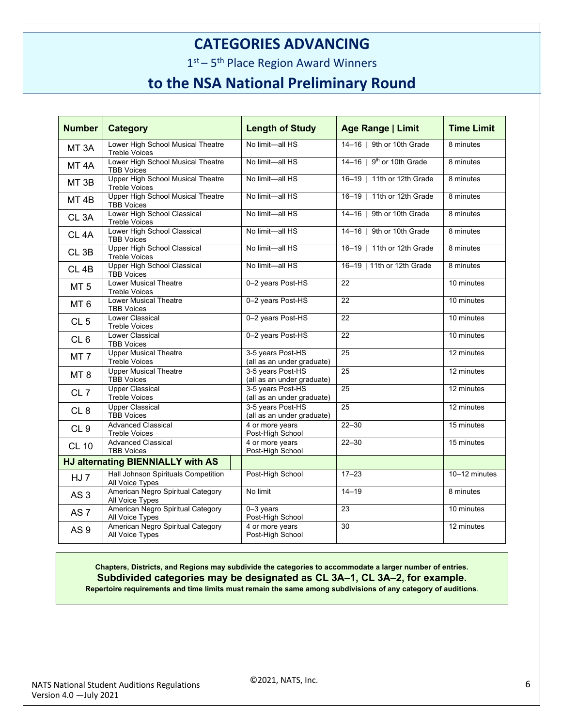### **CATEGORIES ADVANCING**

 $1<sup>st</sup> - 5<sup>th</sup>$  Place Region Award Winners

### **to the NSA National Preliminary Round**

| <b>Number</b>                     | <b>Category</b>                                                  | <b>Length of Study</b>                          | <b>Age Range   Limit</b>    | <b>Time Limit</b> |
|-----------------------------------|------------------------------------------------------------------|-------------------------------------------------|-----------------------------|-------------------|
| MT <sub>3</sub> A                 | Lower High School Musical Theatre<br><b>Treble Voices</b>        | No limit-all HS                                 | 14-16   9th or 10th Grade   | 8 minutes         |
| MT <sub>4A</sub>                  | Lower High School Musical Theatre<br><b>TBB Voices</b>           | No limit-all HS                                 | 14-16   $9th$ or 10th Grade | 8 minutes         |
| MT <sub>3B</sub>                  | <b>Upper High School Musical Theatre</b><br><b>Treble Voices</b> | No limit-all HS                                 | 16-19   11th or 12th Grade  | 8 minutes         |
| MT <sub>4B</sub>                  | <b>Upper High School Musical Theatre</b><br><b>TBB Voices</b>    | No limit-all HS                                 | 16-19   11th or 12th Grade  | 8 minutes         |
| CL <sub>3</sub> A                 | Lower High School Classical<br><b>Treble Voices</b>              | No limit-all HS                                 | 14-16   9th or 10th Grade   | 8 minutes         |
| CL <sub>4</sub> A                 | Lower High School Classical<br><b>TBB Voices</b>                 | No limit-all HS                                 | 14-16   9th or 10th Grade   | 8 minutes         |
| CL <sub>3B</sub>                  | <b>Upper High School Classical</b><br><b>Treble Voices</b>       | No limit-all HS                                 | 16-19   11th or 12th Grade  | 8 minutes         |
| CL <sub>4B</sub>                  | <b>Upper High School Classical</b><br><b>TBB Voices</b>          | No limit-all HS                                 | 16-19   11th or 12th Grade  | 8 minutes         |
| MT <sub>5</sub>                   | <b>Lower Musical Theatre</b><br><b>Treble Voices</b>             | 0-2 years Post-HS                               | $\overline{22}$             | 10 minutes        |
| MT <sub>6</sub>                   | <b>Lower Musical Theatre</b><br><b>TBB Voices</b>                | 0-2 years Post-HS                               | 22                          | 10 minutes        |
| CL <sub>5</sub>                   | Lower Classical<br><b>Treble Voices</b>                          | 0-2 years Post-HS                               | 22                          | 10 minutes        |
| CL6                               | <b>Lower Classical</b><br><b>TBB Voices</b>                      | 0-2 years Post-HS                               | 22                          | 10 minutes        |
| MT <sub>7</sub>                   | <b>Upper Musical Theatre</b><br>Treble Voices                    | 3-5 years Post-HS<br>(all as an under graduate) | $\overline{25}$             | 12 minutes        |
| MT <sub>8</sub>                   | <b>Upper Musical Theatre</b><br><b>TBB Voices</b>                | 3-5 years Post-HS<br>(all as an under graduate) | 25                          | 12 minutes        |
| CL <sub>7</sub>                   | <b>Upper Classical</b><br><b>Treble Voices</b>                   | 3-5 years Post-HS<br>(all as an under graduate) | 25                          | 12 minutes        |
| CL <sub>8</sub>                   | <b>Upper Classical</b><br><b>TBB Voices</b>                      | 3-5 years Post-HS<br>(all as an under graduate) | 25                          | 12 minutes        |
| CL <sub>9</sub>                   | <b>Advanced Classical</b><br><b>Treble Voices</b>                | 4 or more years<br>Post-High School             | $22 - 30$                   | 15 minutes        |
| <b>CL 10</b>                      | <b>Advanced Classical</b><br><b>TBB Voices</b>                   | 4 or more years<br>Post-High School             | $22 - 30$                   | 15 minutes        |
| HJ alternating BIENNIALLY with AS |                                                                  |                                                 |                             |                   |
| HJ 7                              | Hall Johnson Spirituals Competition<br>All Voice Types           | Post-High School                                | $17 - 23$                   | 10-12 minutes     |
| AS <sub>3</sub>                   | American Negro Spiritual Category<br>All Voice Types             | No limit                                        | $14 - 19$                   | 8 minutes         |
| AS <sub>7</sub>                   | American Negro Spiritual Category<br>All Voice Types             | $0 - 3$ years<br>Post-High School               | 23                          | 10 minutes        |
| AS <sub>9</sub>                   | American Negro Spiritual Category<br>All Voice Types             | 4 or more years<br>Post-High School             | 30                          | 12 minutes        |

**Chapters, Districts, and Regions may subdivide the categories to accommodate a larger number of entries. Subdivided categories may be designated as CL 3A–1, CL 3A–2, for example. Repertoire requirements and time limits must remain the same among subdivisions of any category of auditions**.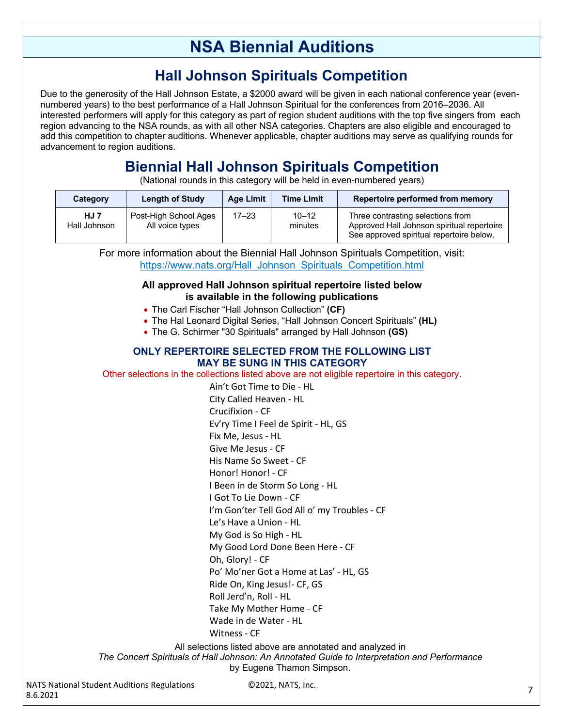## **NSA Biennial Auditions**

### **Hall Johnson Spirituals Competition**

Due to the generosity of the Hall Johnson Estate, a \$2000 award will be given in each national conference year (evennumbered years) to the best performance of a Hall Johnson Spiritual for the conferences from 2016–2036. All interested performers will apply for this category as part of region student auditions with the top five singers from each region advancing to the NSA rounds, as with all other NSA categories. Chapters are also eligible and encouraged to add this competition to chapter auditions. Whenever applicable, chapter auditions may serve as qualifying rounds for advancement to region auditions.

## **Biennial Hall Johnson Spirituals Competition**

(National rounds in this category will be held in even-numbered years)

| Category                    | Length of Study                          | Age Limit | <b>Time Limit</b>    | Repertoire performed from memory                                                                                            |
|-----------------------------|------------------------------------------|-----------|----------------------|-----------------------------------------------------------------------------------------------------------------------------|
| <b>HJ 7</b><br>Hall Johnson | Post-High School Ages<br>All voice types | $17 - 23$ | $10 - 12$<br>minutes | Three contrasting selections from<br>Approved Hall Johnson spiritual repertoire<br>See approved spiritual repertoire below. |

For more information about the Biennial Hall Johnson Spirituals Competition, visit: https://www.nats.org/Hall\_Johnson\_Spirituals\_Competition.html

#### **All approved Hall Johnson spiritual repertoire listed below is available in the following publications**

- The Carl Fischer "Hall Johnson Collection" **(CF)**
- The Hal Leonard Digital Series, "Hall Johnson Concert Spirituals" **(HL)**
- The G. Schirmer "30 Spirituals" arranged by Hall Johnson **(GS)**

#### **ONLY REPERTOIRE SELECTED FROM THE FOLLOWING LIST MAY BE SUNG IN THIS CATEGORY**

Other selections in the collections listed above are not eligible repertoire in this category.

Ain't Got Time to Die - HL City Called Heaven - HL Crucifixion - CF Ev'ry Time I Feel de Spirit - HL, GS Fix Me, Jesus - HL Give Me Jesus - CF His Name So Sweet - CF Honor! Honor! - CF I Been in de Storm So Long - HL I Got To Lie Down - CF I'm Gon'ter Tell God All o' my Troubles - CF Le's Have a Union - HL My God is So High - HL My Good Lord Done Been Here - CF Oh, Glory! - CF Po' Mo'ner Got a Home at Las' - HL, GS Ride On, King Jesus!- CF, GS Roll Jerd'n, Roll - HL Take My Mother Home - CF Wade in de Water - HL Witness - CF All selections listed above are annotated and analyzed in

*The Concert Spirituals of Hall Johnson: An Annotated Guide to Interpretation and Performance* by Eugene Thamon Simpson.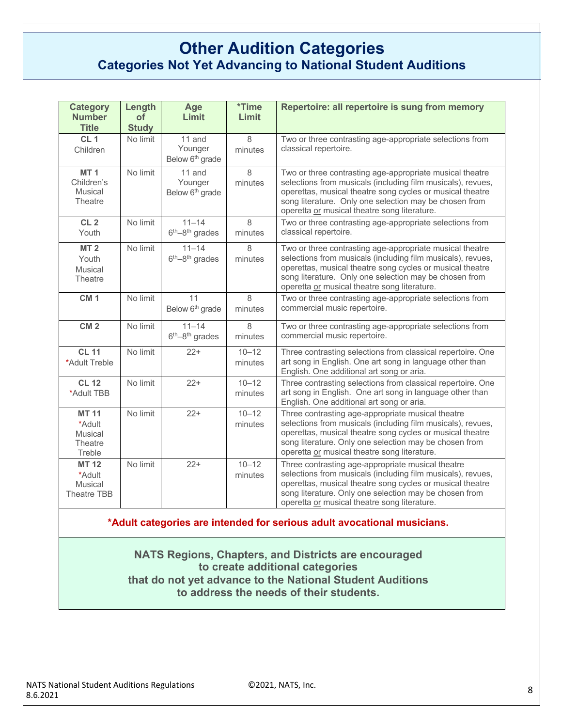### **Other Audition Categories Categories Not Yet Advancing to National Student Auditions**

| <b>Category</b><br><b>Number</b><br><b>Title</b>           | Length<br>of<br><b>Study</b> | Age<br>Limit                                       | <i><b>*Time</b></i><br>Limit | Repertoire: all repertoire is sung from memory                                                                                                                                                                                                                                                 |
|------------------------------------------------------------|------------------------------|----------------------------------------------------|------------------------------|------------------------------------------------------------------------------------------------------------------------------------------------------------------------------------------------------------------------------------------------------------------------------------------------|
| CL <sub>1</sub><br>Children                                | No limit                     | 11 and<br>Younger<br>Below 6 <sup>th</sup> grade   | 8<br>minutes                 | Two or three contrasting age-appropriate selections from<br>classical repertoire.                                                                                                                                                                                                              |
| MT <sub>1</sub><br>Children's<br><b>Musical</b><br>Theatre | No limit                     | $11$ and<br>Younger<br>Below 6 <sup>th</sup> grade | 8<br>minutes                 | Two or three contrasting age-appropriate musical theatre<br>selections from musicals (including film musicals), revues,<br>operettas, musical theatre song cycles or musical theatre<br>song literature. Only one selection may be chosen from<br>operetta or musical theatre song literature. |
| CL <sub>2</sub><br>Youth                                   | No limit                     | $11 - 14$<br>$6th-8th$ grades                      | 8<br>minutes                 | Two or three contrasting age-appropriate selections from<br>classical repertoire.                                                                                                                                                                                                              |
| <b>MT2</b><br>Youth<br>Musical<br>Theatre                  | No limit                     | $11 - 14$<br>$6th-8th$ grades                      | $\mathsf{R}$<br>minutes      | Two or three contrasting age-appropriate musical theatre<br>selections from musicals (including film musicals), revues,<br>operettas, musical theatre song cycles or musical theatre<br>song literature. Only one selection may be chosen from<br>operetta or musical theatre song literature. |
| CM <sub>1</sub>                                            | No limit                     | 11<br>Below 6 <sup>th</sup> grade                  | 8<br>minutes                 | Two or three contrasting age-appropriate selections from<br>commercial music repertoire.                                                                                                                                                                                                       |
| CM <sub>2</sub>                                            | No limit                     | $11 - 14$<br>$6th-8th$ grades                      | $\mathsf{R}$<br>minutes      | Two or three contrasting age-appropriate selections from<br>commercial music repertoire.                                                                                                                                                                                                       |
| <b>CL 11</b><br>*Adult Treble                              | No limit                     | $22+$                                              | $10 - 12$<br>minutes         | Three contrasting selections from classical repertoire. One<br>art song in English. One art song in language other than<br>English. One additional art song or aria.                                                                                                                           |
| <b>CL 12</b><br>*Adult TBB                                 | No limit                     | $22+$                                              | $10 - 12$<br>minutes         | Three contrasting selections from classical repertoire. One<br>art song in English. One art song in language other than<br>English. One additional art song or aria.                                                                                                                           |
| <b>MT 11</b><br>*Adult<br>Musical<br>Theatre<br>Treble     | No limit                     | $22+$                                              | $10 - 12$<br>minutes         | Three contrasting age-appropriate musical theatre<br>selections from musicals (including film musicals), revues,<br>operettas, musical theatre song cycles or musical theatre<br>song literature. Only one selection may be chosen from<br>operetta or musical theatre song literature.        |
| <b>MT 12</b><br>*Adult<br>Musical<br>Theatre TBB           | No limit                     | $22+$                                              | $10 - 12$<br>minutes         | Three contrasting age-appropriate musical theatre<br>selections from musicals (including film musicals), revues,<br>operettas, musical theatre song cycles or musical theatre<br>song literature. Only one selection may be chosen from<br>operetta or musical theatre song literature.        |

**\*Adult categories are intended for serious adult avocational musicians.**

**NATS Regions, Chapters, and Districts are encouraged to create additional categories that do not yet advance to the National Student Auditions to address the needs of their students.**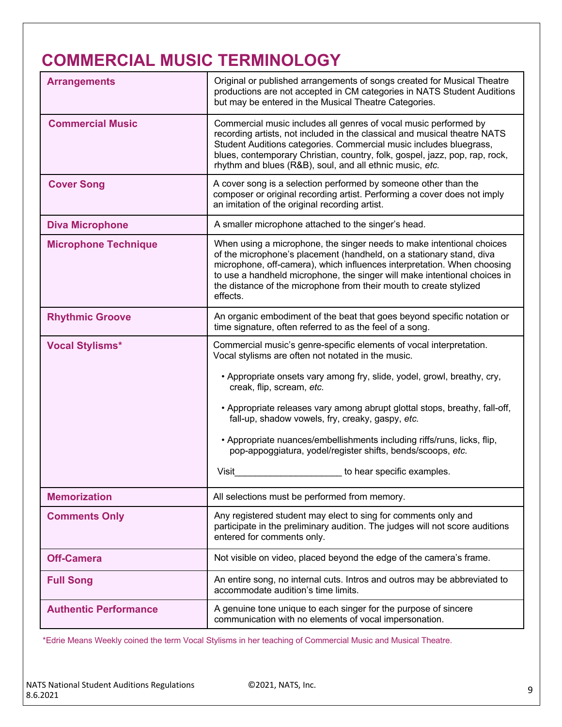# **COMMERCIAL MUSIC TERMINOLOGY**

| <b>Arrangements</b>          | Original or published arrangements of songs created for Musical Theatre<br>productions are not accepted in CM categories in NATS Student Auditions<br>but may be entered in the Musical Theatre Categories.                                                                                                                                                                             |
|------------------------------|-----------------------------------------------------------------------------------------------------------------------------------------------------------------------------------------------------------------------------------------------------------------------------------------------------------------------------------------------------------------------------------------|
| <b>Commercial Music</b>      | Commercial music includes all genres of vocal music performed by<br>recording artists, not included in the classical and musical theatre NATS<br>Student Auditions categories. Commercial music includes bluegrass,<br>blues, contemporary Christian, country, folk, gospel, jazz, pop, rap, rock,<br>rhythm and blues (R&B), soul, and all ethnic music, etc.                          |
| <b>Cover Song</b>            | A cover song is a selection performed by someone other than the<br>composer or original recording artist. Performing a cover does not imply<br>an imitation of the original recording artist.                                                                                                                                                                                           |
| <b>Diva Microphone</b>       | A smaller microphone attached to the singer's head.                                                                                                                                                                                                                                                                                                                                     |
| <b>Microphone Technique</b>  | When using a microphone, the singer needs to make intentional choices<br>of the microphone's placement (handheld, on a stationary stand, diva<br>microphone, off-camera), which influences interpretation. When choosing<br>to use a handheld microphone, the singer will make intentional choices in<br>the distance of the microphone from their mouth to create stylized<br>effects. |
| <b>Rhythmic Groove</b>       | An organic embodiment of the beat that goes beyond specific notation or<br>time signature, often referred to as the feel of a song.                                                                                                                                                                                                                                                     |
| <b>Vocal Stylisms*</b>       | Commercial music's genre-specific elements of vocal interpretation.<br>Vocal stylisms are often not notated in the music.<br>• Appropriate onsets vary among fry, slide, yodel, growl, breathy, cry,                                                                                                                                                                                    |
|                              | creak, flip, scream, etc.<br>• Appropriate releases vary among abrupt glottal stops, breathy, fall-off,<br>fall-up, shadow vowels, fry, creaky, gaspy, etc.                                                                                                                                                                                                                             |
|                              | • Appropriate nuances/embellishments including riffs/runs, licks, flip,<br>pop-appoggiatura, yodel/register shifts, bends/scoops, etc.                                                                                                                                                                                                                                                  |
|                              | <b>Visit</b><br>to hear specific examples.                                                                                                                                                                                                                                                                                                                                              |
| <b>Memorization</b>          | All selections must be performed from memory.                                                                                                                                                                                                                                                                                                                                           |
| <b>Comments Only</b>         | Any registered student may elect to sing for comments only and<br>participate in the preliminary audition. The judges will not score auditions<br>entered for comments only.                                                                                                                                                                                                            |
| <b>Off-Camera</b>            | Not visible on video, placed beyond the edge of the camera's frame.                                                                                                                                                                                                                                                                                                                     |
| <b>Full Song</b>             | An entire song, no internal cuts. Intros and outros may be abbreviated to<br>accommodate audition's time limits.                                                                                                                                                                                                                                                                        |
| <b>Authentic Performance</b> | A genuine tone unique to each singer for the purpose of sincere<br>communication with no elements of vocal impersonation.                                                                                                                                                                                                                                                               |

\*Edrie Means Weekly coined the term Vocal Stylisms in her teaching of Commercial Music and Musical Theatre.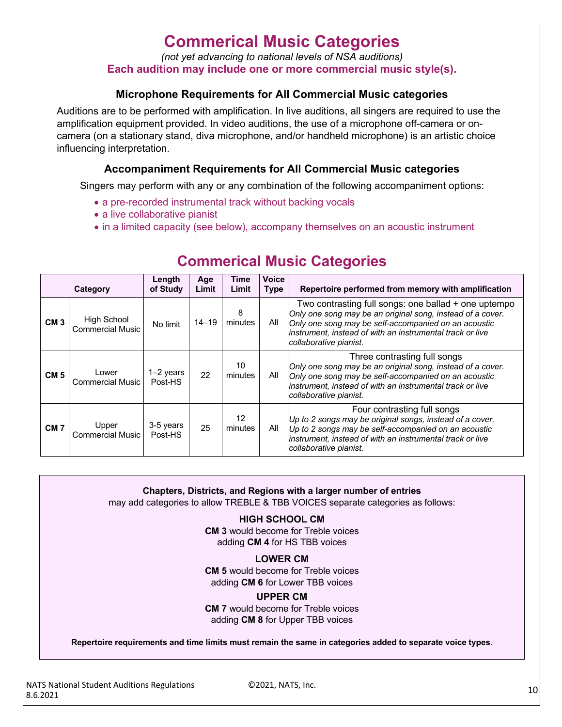## **Commerical Music Categories**

*(not yet advancing to national levels of NSA auditions)*

**Each audition may include one or more commercial music style(s).**

#### **Microphone Requirements for All Commercial Music categories**

Auditions are to be performed with amplification. In live auditions, all singers are required to use the amplification equipment provided. In video auditions, the use of a microphone off-camera or oncamera (on a stationary stand, diva microphone, and/or handheld microphone) is an artistic choice influencing interpretation.

### **Accompaniment Requirements for All Commercial Music categories**

Singers may perform with any or any combination of the following accompaniment options:

- a pre-recorded instrumental track without backing vocals
- a live collaborative pianist
- in a limited capacity (see below), accompany themselves on an acoustic instrument

|                 | Category                               | Length<br>of Study     | Age<br>Limit | Time<br>Limit | <b>Voice</b><br><b>Type</b> | Repertoire performed from memory with amplification                                                                                                                                                                                                               |
|-----------------|----------------------------------------|------------------------|--------------|---------------|-----------------------------|-------------------------------------------------------------------------------------------------------------------------------------------------------------------------------------------------------------------------------------------------------------------|
| CM <sub>3</sub> | High School<br><b>Commercial Music</b> | No limit               | $14 - 19$    | 8<br>minutes  | All                         | Two contrasting full songs: one ballad + one uptempo<br>Only one song may be an original song, instead of a cover.<br>Only one song may be self-accompanied on an acoustic<br>instrument, instead of with an instrumental track or live<br>collaborative pianist. |
| CM <sub>5</sub> | Lower<br><b>Commercial Music</b>       | $1-2$ years<br>Post-HS | 22           | 10<br>minutes | All                         | Three contrasting full songs<br>Only one song may be an original song, instead of a cover.<br>Only one song may be self-accompanied on an acoustic<br>instrument, instead of with an instrumental track or live<br>collaborative pianist.                         |
| CM <sub>7</sub> | Upper<br><b>Commercial Music</b>       | 3-5 years<br>Post-HS   | 25           | 12<br>minutes | All                         | Four contrasting full songs<br>Up to 2 songs may be original songs, instead of a cover.<br>Up to 2 songs may be self-accompanied on an acoustic<br>instrument, instead of with an instrumental track or live<br>collaborative pianist.                            |

### **Commerical Music Categories**

**Chapters, Districts, and Regions with a larger number of entries**

may add categories to allow TREBLE & TBB VOICES separate categories as follows:

**HIGH SCHOOL CM**

**CM 3** would become for Treble voices adding **CM 4** for HS TBB voices

#### **LOWER CM**

**CM 5** would become for Treble voices adding **CM 6** for Lower TBB voices

#### **UPPER CM**

**CM 7** would become for Treble voices adding **CM 8** for Upper TBB voices

**Repertoire requirements and time limits must remain the same in categories added to separate voice types**.